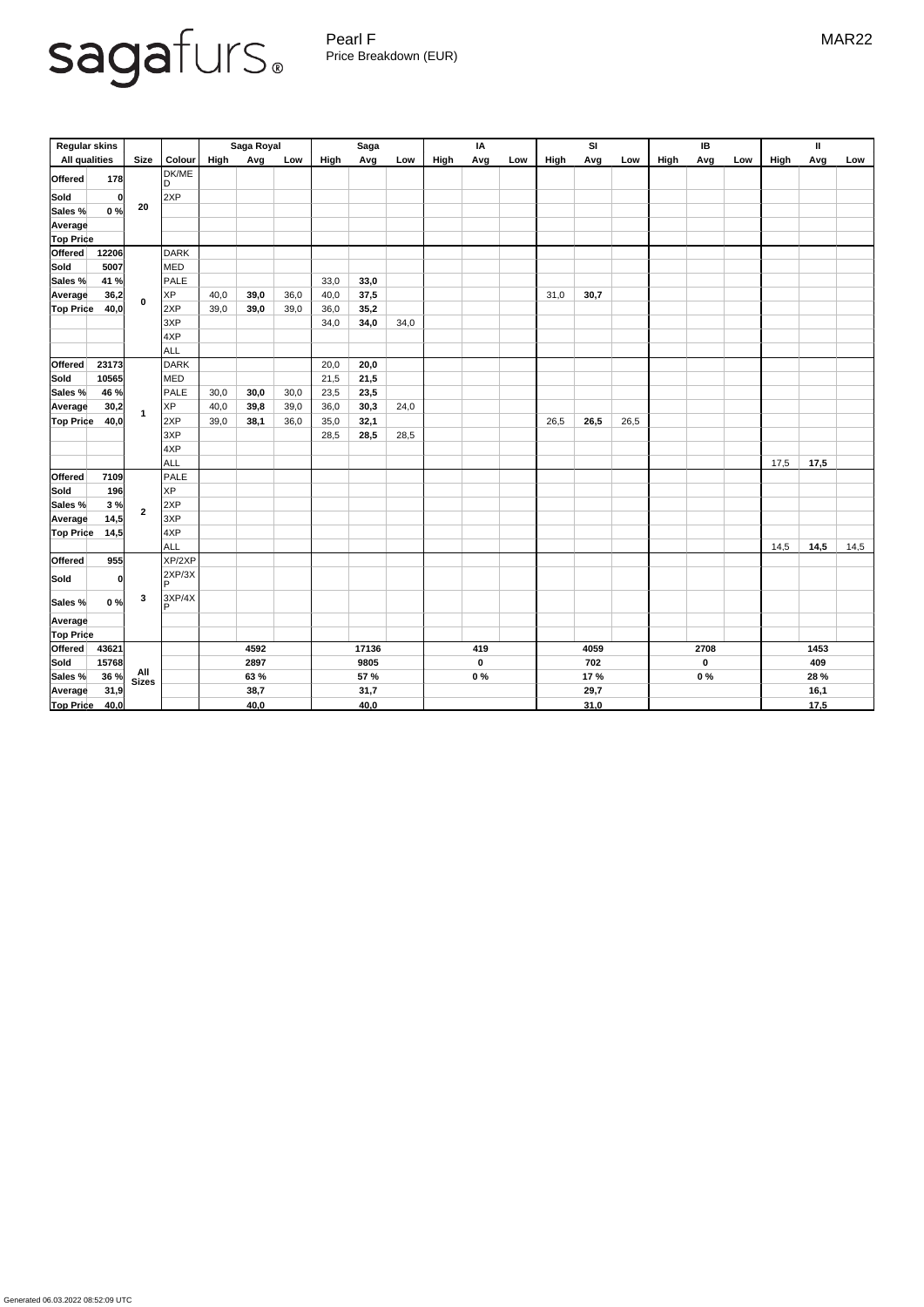Pearl F MAR22 Price Breakdown (EUR)

|                      | <b>Regular skins</b> |                |                    |             | Saga Royal |      |      | <b>Saga</b> |      |      | IA               |     |             | SI   |      |      | IB          |     |      | $\mathbf{I}$ |      |
|----------------------|----------------------|----------------|--------------------|-------------|------------|------|------|-------------|------|------|------------------|-----|-------------|------|------|------|-------------|-----|------|--------------|------|
| <b>All qualities</b> |                      | <b>Size</b>    | <b>Colour</b>      | <b>High</b> | Avg        | Low  | High | Avg         | Low  | High | Avg              | Low | <b>High</b> | Avg  | Low  | High | Avg         | Low | High | Avg          | Low  |
| <b>Offered</b>       | 178                  |                | DK/ME<br>D         |             |            |      |      |             |      |      |                  |     |             |      |      |      |             |     |      |              |      |
| <b>Sold</b>          | 0                    | 20             | 2XP                |             |            |      |      |             |      |      |                  |     |             |      |      |      |             |     |      |              |      |
| Sales %              | 0%                   |                |                    |             |            |      |      |             |      |      |                  |     |             |      |      |      |             |     |      |              |      |
| Average              |                      |                |                    |             |            |      |      |             |      |      |                  |     |             |      |      |      |             |     |      |              |      |
| <b>Top Price</b>     |                      |                |                    |             |            |      |      |             |      |      |                  |     |             |      |      |      |             |     |      |              |      |
| Offered              | 12206                |                | <b>DARK</b>        |             |            |      |      |             |      |      |                  |     |             |      |      |      |             |     |      |              |      |
| <b>Sold</b>          | 5007                 |                | <b>MED</b>         |             |            |      |      |             |      |      |                  |     |             |      |      |      |             |     |      |              |      |
| Sales %              | 41 %                 |                | PALE               |             |            |      | 33,0 | 33,0        |      |      |                  |     |             |      |      |      |             |     |      |              |      |
| <b>Average</b>       | 36,2                 | $\mathbf 0$    | <b>XP</b>          | 40,0        | 39,0       | 36,0 | 40,0 | 37,5        |      |      |                  |     | 31,0        | 30,7 |      |      |             |     |      |              |      |
| <b>Top Price</b>     | 40,0                 |                | 2XP                | 39,0        | 39,0       | 39,0 | 36,0 | 35,2        |      |      |                  |     |             |      |      |      |             |     |      |              |      |
|                      |                      |                | 3XP                |             |            |      | 34,0 | 34,0        | 34,0 |      |                  |     |             |      |      |      |             |     |      |              |      |
|                      |                      |                | 4XP                |             |            |      |      |             |      |      |                  |     |             |      |      |      |             |     |      |              |      |
|                      |                      |                | ALL                |             |            |      |      |             |      |      |                  |     |             |      |      |      |             |     |      |              |      |
| <b>Offered</b>       | 23173                |                | <b>DARK</b>        |             |            |      | 20,0 | 20,0        |      |      |                  |     |             |      |      |      |             |     |      |              |      |
| <b>Sold</b>          | 10565                |                | <b>MED</b>         |             |            |      | 21,5 | 21,5        |      |      |                  |     |             |      |      |      |             |     |      |              |      |
| Sales %              | 46 %                 | $\mathbf{1}$   | PALE               | 30,0        | 30,0       | 30,0 | 23,5 | 23,5        |      |      |                  |     |             |      |      |      |             |     |      |              |      |
| <b>Average</b>       | 30,2                 |                | <b>XP</b>          | 40,0        | 39,8       | 39,0 | 36,0 | 30,3        | 24,0 |      |                  |     |             |      |      |      |             |     |      |              |      |
| <b>Top Price</b>     | 40,0                 |                | 2XP                | 39,0        | 38,1       | 36,0 | 35,0 | 32,1        |      |      |                  |     | 26,5        | 26,5 | 26,5 |      |             |     |      |              |      |
|                      |                      |                | 3XP                |             |            |      | 28,5 | 28,5        | 28,5 |      |                  |     |             |      |      |      |             |     |      |              |      |
|                      |                      |                | 4XP                |             |            |      |      |             |      |      |                  |     |             |      |      |      |             |     |      |              |      |
|                      |                      |                | ALL                |             |            |      |      |             |      |      |                  |     |             |      |      |      |             |     | 17,5 | 17,5         |      |
| <b>Offered</b>       | 7109                 |                | PALE               |             |            |      |      |             |      |      |                  |     |             |      |      |      |             |     |      |              |      |
| <b>Sold</b>          | 196                  | $\overline{2}$ | XP                 |             |            |      |      |             |      |      |                  |     |             |      |      |      |             |     |      |              |      |
| Sales %              | 3%                   |                | 2XP                |             |            |      |      |             |      |      |                  |     |             |      |      |      |             |     |      |              |      |
| Average              | 14,5                 |                | 3XP                |             |            |      |      |             |      |      |                  |     |             |      |      |      |             |     |      |              |      |
| <b>Top Price</b>     | 14,5                 |                | 4XP                |             |            |      |      |             |      |      |                  |     |             |      |      |      |             |     |      |              |      |
|                      |                      |                | ALL                |             |            |      |      |             |      |      |                  |     |             |      |      |      |             |     | 14,5 | 14,5         | 14,5 |
| <b>Offered</b>       | 955                  |                | XP/2XP             |             |            |      |      |             |      |      |                  |     |             |      |      |      |             |     |      |              |      |
| Sold                 | 0                    |                | 2XP/3X<br>IP.      |             |            |      |      |             |      |      |                  |     |             |      |      |      |             |     |      |              |      |
| Sales %              | 0%                   | $\mathbf{3}$   | 3XP/4X<br><b>D</b> |             |            |      |      |             |      |      |                  |     |             |      |      |      |             |     |      |              |      |
| Average              |                      |                |                    |             |            |      |      |             |      |      |                  |     |             |      |      |      |             |     |      |              |      |
| <b>Top Price</b>     |                      |                |                    |             |            |      |      |             |      |      |                  |     |             |      |      |      |             |     |      |              |      |
| Offered              | 43621                |                |                    |             | 4592       |      |      | 17136       |      |      | 419              |     |             | 4059 |      |      | 2708        |     |      | 1453         |      |
| Sold                 | 15768                |                |                    |             | 2897       |      |      | 9805        |      |      | $\boldsymbol{0}$ |     |             | 702  |      |      | $\mathbf 0$ |     |      | 409          |      |
| Sales %              | 36 %                 | All<br>Sizes   |                    |             | 63 %       |      |      | <b>57 %</b> |      |      | $0\%$            |     |             | 17 % |      |      | $0\%$       |     |      | 28 %         |      |
| Average              | 31,9                 |                |                    |             | 38,7       |      |      | 31,7        |      |      |                  |     |             | 29,7 |      |      |             |     |      | 16,1         |      |

| . | <b>Top Price</b><br>40.OI | 40,0 | 40.0 | - J.U |  |  |
|---|---------------------------|------|------|-------|--|--|
|---|---------------------------|------|------|-------|--|--|